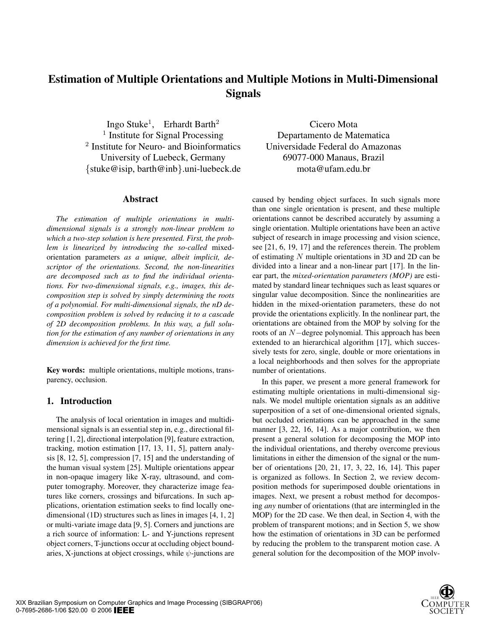# **Estimation of Multiple Orientations and Multiple Motions in Multi-Dimensional Signals**

Ingo Stuke<sup>1</sup>, Erhardt Barth<sup>2</sup> <sup>1</sup> Institute for Signal Processing <sup>2</sup> Institute for Neuro- and Bioinformatics University of Luebeck, Germany {stuke@isip, barth@inb}.uni-luebeck.de

## **Abstract**

*The estimation of multiple orientations in multidimensional signals is a strongly non-linear problem to which a two-step solution is here presented. First, the problem is linearized by introducing the so-called* mixedorientation parameters *as a unique, albeit implicit, descriptor of the orientations. Second, the non-linearities are decomposed such as to find the individual orientations. For two-dimensional signals, e.g., images, this decomposition step is solved by simply determining the roots of a polynomial. For multi-dimensional signals, the nD decomposition problem is solved by reducing it to a cascade of 2D decomposition problems. In this way, a full solution for the estimation of any number of orientations in any dimension is achieved for the first time.*

**Key words:** multiple orientations, multiple motions, transparency, occlusion.

# **1. Introduction**

The analysis of local orientation in images and multidimensional signals is an essential step in, e.g., directional filtering [1, 2], directional interpolation [9], feature extraction, tracking, motion estimation [17, 13, 11, 5], pattern analysis [8, 12, 5], compression [7, 15] and the understanding of the human visual system [25]. Multiple orientations appear in non-opaque imagery like X-ray, ultrasound, and computer tomography. Moreover, they characterize image features like corners, crossings and bifurcations. In such applications, orientation estimation seeks to find locally onedimensional (1D) structures such as lines in images [4, 1, 2] or multi-variate image data [9, 5]. Corners and junctions are a rich source of information: L- and Y-junctions represent object corners, T-junctions occur at occluding object boundaries, X-junctions at object crossings, while  $\psi$ -junctions are

Cicero Mota Departamento de Matematica Universidade Federal do Amazonas 69077-000 Manaus, Brazil mota@ufam.edu.br

caused by bending object surfaces. In such signals more than one single orientation is present, and these multiple orientations cannot be described accurately by assuming a single orientation. Multiple orientations have been an active subject of research in image processing and vision science, see [21, 6, 19, 17] and the references therein. The problem of estimating  $N$  multiple orientations in 3D and 2D can be divided into a linear and a non-linear part [17]. In the linear part, the *mixed-orientation parameters (MOP)* are estimated by standard linear techniques such as least squares or singular value decomposition. Since the nonlinearities are hidden in the mixed-orientation parameters, these do not provide the orientations explicitly. In the nonlinear part, the orientations are obtained from the MOP by solving for the roots of an N−degree polynomial. This approach has been extended to an hierarchical algorithm [17], which successively tests for zero, single, double or more orientations in a local neighborhoods and then solves for the appropriate number of orientations.

In this paper, we present a more general framework for estimating multiple orientations in multi-dimensional signals. We model multiple orientation signals as an additive superposition of a set of one-dimensional oriented signals, but occluded orientations can be approached in the same manner [3, 22, 16, 14]. As a major contribution, we then present a general solution for decomposing the MOP into the individual orientations, and thereby overcome previous limitations in either the dimension of the signal or the number of orientations [20, 21, 17, 3, 22, 16, 14]. This paper is organized as follows. In Section 2, we review decomposition methods for superimposed double orientations in images. Next, we present a robust method for decomposing *any* number of orientations (that are intermingled in the MOP) for the 2D case. We then deal, in Section 4, with the problem of transparent motions; and in Section 5, we show how the estimation of orientations in 3D can be performed by reducing the problem to the transparent motion case. A general solution for the decomposition of the MOP involv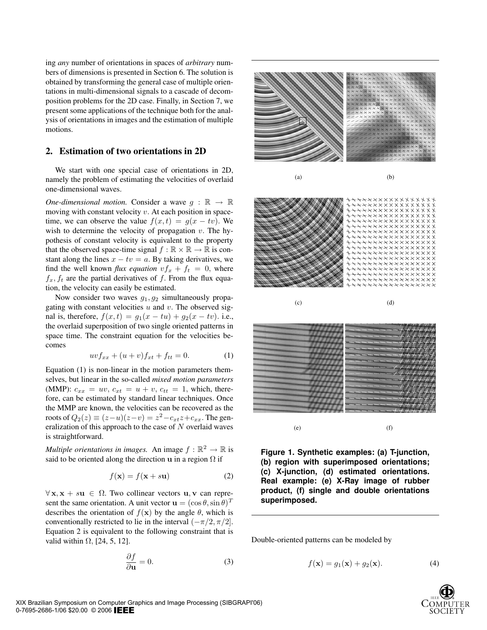ing *any* number of orientations in spaces of *arbitrary* numbers of dimensions is presented in Section 6. The solution is obtained by transforming the general case of multiple orientations in multi-dimensional signals to a cascade of decomposition problems for the 2D case. Finally, in Section 7, we present some applications of the technique both for the analysis of orientations in images and the estimation of multiple motions.

#### **2. Estimation of two orientations in 2D**

We start with one special case of orientations in 2D, namely the problem of estimating the velocities of overlaid one-dimensional waves.

*One-dimensional motion.* Consider a wave  $g : \mathbb{R} \to \mathbb{R}$ moving with constant velocity v. At each position in spacetime, we can observe the value  $f(x, t) = g(x - tv)$ . We wish to determine the velocity of propagation  $v$ . The hypothesis of constant velocity is equivalent to the property that the observed space-time signal  $f : \mathbb{R} \times \mathbb{R} \to \mathbb{R}$  is constant along the lines  $x - tv = a$ . By taking derivatives, we find the well known *flux equation*  $vf_x + f_t = 0$ , where  $f_x, f_t$  are the partial derivatives of f. From the flux equation, the velocity can easily be estimated.

Now consider two waves  $g_1, g_2$  simultaneously propagating with constant velocities  $u$  and  $v$ . The observed signal is, therefore,  $f(x, t) = g_1(x - tu) + g_2(x - tv)$ . i.e., the overlaid superposition of two single oriented patterns in space time. The constraint equation for the velocities becomes

$$
uvf_{xx} + (u+v)f_{xt} + f_{tt} = 0.
$$
 (1)

Equation (1) is non-linear in the motion parameters themselves, but linear in the so-called *mixed motion parameters* (MMP):  $c_{xx} = uv$ ,  $c_{xt} = u + v$ ,  $c_{tt} = 1$ , which, therefore, can be estimated by standard linear techniques. Once the MMP are known, the velocities can be recovered as the roots of  $Q_2(z) \equiv (z-u)(z-v) = z^2 - c_{xt}z + c_{xx}$ . The generalization of this approach to the case of  $N$  overlaid waves is straightforward.

*Multiple orientations in images.* An image  $f : \mathbb{R}^2 \to \mathbb{R}$  is said to be oriented along the direction  $\bf{u}$  in a region  $\Omega$  if

$$
f(\mathbf{x}) = f(\mathbf{x} + s\mathbf{u})
$$
 (2)

 $\forall x, x + su \in \Omega$ . Two collinear vectors u, v can represent the same orientation. A unit vector  $\mathbf{u} = (\cos \theta, \sin \theta)^T$ describes the orientation of  $f(\mathbf{x})$  by the angle  $\theta$ , which is conventionally restricted to lie in the interval  $(-\pi/2, \pi/2]$ . Equation 2 is equivalent to the following constraint that is valid within  $\Omega$ , [24, 5, 12].

$$
\frac{\partial f}{\partial \mathbf{u}} = 0. \tag{3}
$$



**Figure 1. Synthetic examples: (a) T-junction, (b) region with superimposed orientations; (c) X-junction, (d) estimated orientations. Real example: (e) X-Ray image of rubber product, (f) single and double orientations superimposed.**

Double-oriented patterns can be modeled by

$$
f(\mathbf{x}) = g_1(\mathbf{x}) + g_2(\mathbf{x}).\tag{4}
$$

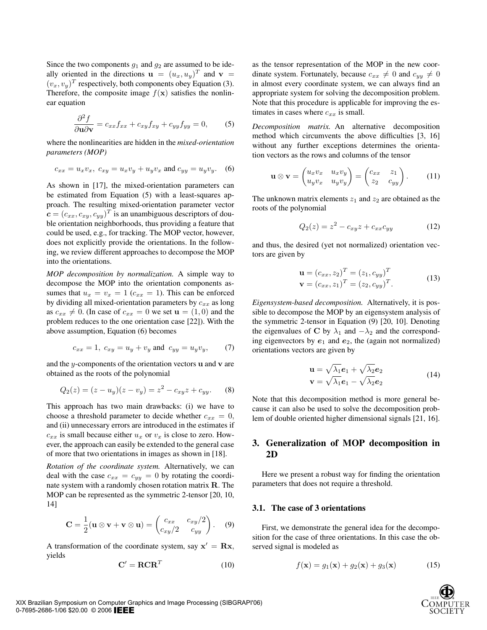Since the two components  $g_1$  and  $g_2$  are assumed to be ideally oriented in the directions  $\mathbf{u} = (u_x, u_y)^T$  and  $\mathbf{v} =$  $(v_x, v_y)^T$  respectively, both components obey Equation (3). Therefore, the composite image  $f(x)$  satisfies the nonlinear equation

$$
\frac{\partial^2 f}{\partial \mathbf{u} \partial \mathbf{v}} = c_{xx} f_{xx} + c_{xy} f_{xy} + c_{yy} f_{yy} = 0, \qquad (5)
$$

where the nonlinearities are hidden in the *mixed-orientation parameters (MOP)*

$$
c_{xx} = u_x v_x
$$
,  $c_{xy} = u_x v_y + u_y v_x$  and  $c_{yy} = u_y v_y$ . (6)

As shown in [17], the mixed-orientation parameters can be estimated from Equation (5) with a least-squares approach. The resulting mixed-orientation parameter vector  $\mathbf{c} = (c_{xx}, c_{xy}, c_{yy})^T$  is an unambiguous descriptors of double orientation neighborhoods, thus providing a feature that could be used, e.g., for tracking. The MOP vector, however, does not explicitly provide the orientations. In the following, we review different approaches to decompose the MOP into the orientations.

*MOP decomposition by normalization.* A simple way to decompose the MOP into the orientation components assumes that  $u_x = v_x = 1$  ( $c_{xx} = 1$ ). This can be enforced by dividing all mixed-orientation parameters by  $c_{xx}$  as long as  $c_{xx} \neq 0$ . (In case of  $c_{xx} = 0$  we set  $\mathbf{u} = (1, 0)$  and the problem reduces to the one orientation case [22]). With the above assumption, Equation (6) becomes

$$
c_{xx} = 1
$$
,  $c_{xy} = u_y + v_y$  and  $c_{yy} = u_y v_y$ , (7)

and the  $y$ -components of the orientation vectors  $u$  and  $v$  are obtained as the roots of the polynomial

$$
Q_2(z) = (z - u_y)(z - v_y) = z^2 - c_{xy}z + c_{yy}.
$$
 (8)

This approach has two main drawbacks: (i) we have to choose a threshold parameter to decide whether  $c_{xx} = 0$ , and (ii) unnecessary errors are introduced in the estimates if  $c_{xx}$  is small because either  $u_x$  or  $v_x$  is close to zero. However, the approach can easily be extended to the general case of more that two orientations in images as shown in [18].

*Rotation of the coordinate system.* Alternatively, we can deal with the case  $c_{xx} = c_{yy} = 0$  by rotating the coordinate system with a randomly chosen rotation matrix R. The MOP can be represented as the symmetric 2-tensor [20, 10, 14]

$$
\mathbf{C} = \frac{1}{2} (\mathbf{u} \otimes \mathbf{v} + \mathbf{v} \otimes \mathbf{u}) = \begin{pmatrix} c_{xx} & c_{xy}/2 \\ c_{xy}/2 & c_{yy} \end{pmatrix} . \quad (9)
$$

A transformation of the coordinate system, say  $x' = Rx$ , yields

$$
\mathbf{C}' = \mathbf{R} \mathbf{C} \mathbf{R}^T \tag{10}
$$

as the tensor representation of the MOP in the new coordinate system. Fortunately, because  $c_{xx} \neq 0$  and  $c_{yy} \neq 0$ in almost every coordinate system, we can always find an appropriate system for solving the decomposition problem. Note that this procedure is applicable for improving the estimates in cases where  $c_{xx}$  is small.

*Decomposition matrix.* An alternative decomposition method which circumvents the above difficulties [3, 16] without any further exceptions determines the orientation vectors as the rows and columns of the tensor

$$
\mathbf{u} \otimes \mathbf{v} = \begin{pmatrix} u_x v_x & u_x v_y \\ u_y v_x & u_y v_y \end{pmatrix} = \begin{pmatrix} c_{xx} & z_1 \\ z_2 & c_{yy} \end{pmatrix} . \tag{11}
$$

The unknown matrix elements  $z_1$  and  $z_2$  are obtained as the roots of the polynomial

$$
Q_2(z) = z^2 - c_{xy}z + c_{xx}c_{yy}
$$
 (12)

and thus, the desired (yet not normalized) orientation vectors are given by

$$
\mathbf{u} = (c_{xx}, z_2)^T = (z_1, c_{yy})^T \n\mathbf{v} = (c_{xx}, z_1)^T = (z_2, c_{yy})^T.
$$
\n(13)

*Eigensystem-based decomposition.* Alternatively, it is possible to decompose the MOP by an eigensystem analysis of the symmetric 2-tensor in Equation (9) [20, 10]. Denoting the eigenvalues of C by  $\lambda_1$  and  $-\lambda_2$  and the corresponding eigenvectors by  $e_1$  and  $e_2$ , the (again not normalized) orientations vectors are given by

$$
\mathbf{u} = \sqrt{\lambda_1} \mathbf{e}_1 + \sqrt{\lambda_2} \mathbf{e}_2
$$
  

$$
\mathbf{v} = \sqrt{\lambda_1} \mathbf{e}_1 - \sqrt{\lambda_2} \mathbf{e}_2
$$
 (14)

Note that this decomposition method is more general because it can also be used to solve the decomposition problem of double oriented higher dimensional signals [21, 16].

# **3. Generalization of MOP decomposition in 2D**

Here we present a robust way for finding the orientation parameters that does not require a threshold.

## **3.1. The case of 3 orientations**

First, we demonstrate the general idea for the decomposition for the case of three orientations. In this case the observed signal is modeled as

$$
f(\mathbf{x}) = g_1(\mathbf{x}) + g_2(\mathbf{x}) + g_3(\mathbf{x}) \tag{15}
$$

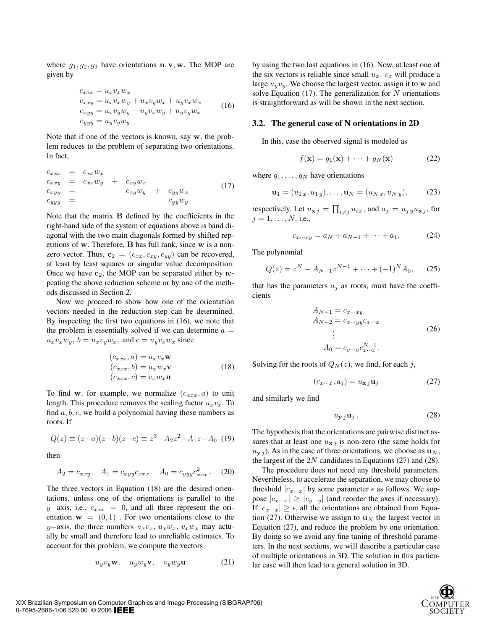where  $g_1, g_2, g_3$  have orientations  $\mathbf{u}, \mathbf{v}, \mathbf{w}$ . The MOP are given by

$$
c_{xxx} = u_x v_x w_x
$$
  
\n
$$
c_{xxy} = u_x v_x w_y + u_x v_y w_x + u_y v_x w_x
$$
  
\n
$$
c_{xyy} = u_x v_y w_y + u_y v_x w_y + u_y v_y w_x
$$
  
\n
$$
c_{yyyy} = u_y v_y w_y
$$
\n(16)

Note that if one of the vectors is known, say w, the problem reduces to the problem of separating two orientations. In fact,

$$
c_{xxx} = c_{xx} w_x
$$
  
\n
$$
c_{xxy} = c_{xx} w_y + c_{xy} w_x
$$
  
\n
$$
c_{xyy} = c_{xy} w_y + c_{yy} w_x
$$
  
\n
$$
c_{yyy} = c_{yy} w_y
$$
\n(17)

Note that the matrix B defined by the coefficients in the right-hand side of the system of equations above is band diagonal with the two main diagonals formed by shifted repetitions of w. Therefore, B has full rank, since w is a nonzero vector. Thus,  $\mathbf{c}_2 = (c_{xx}, c_{xy}, c_{yy})$  can be recovered, at least by least squares or singular value decomposition. Once we have  $c_2$ , the MOP can be separated either by repeating the above reduction scheme or by one of the methods discussed in Section 2.

Now we proceed to show how one of the orientation vectors needed in the reduction step can be determined. By inspecting the first two equations in (16), we note that the problem is essentially solved if we can determine  $a =$  $u_xv_xw_y$ ,  $b = u_xv_yw_x$ , and  $c = u_yv_xw_x$  since

$$
(c_{xxx}, a) = u_x v_x \mathbf{w}
$$
  
\n
$$
(c_{xxx}, b) = u_x w_x \mathbf{v}
$$
  
\n
$$
(c_{xxx}, c) = v_x w_x \mathbf{u}
$$
\n(18)

To find w, for example, we normalize  $(c_{xxx}, a)$  to unit length. This procedure removes the scaling factor  $u_xv_x$ . To find  $a, b, c$ , we build a polynomial having those numbers as roots. If

$$
Q(z) \equiv (z-a)(z-b)(z-c) \equiv z^3 - A_2 z^2 + A_1 z - A_0
$$
 (19)

then

$$
A_2 = c_{xxy} \t A_1 = c_{xyy}c_{xxx} \t A_0 = c_{yyy}c_{xxx}^2. \t (20)
$$

The three vectors in Equation (18) are the desired orientations, unless one of the orientations is parallel to the y–axis, i.e.,  $c_{xxx} = 0$ , and all three represent the orientation  $\mathbf{w} = (0, 1)$ . For two orientations close to the y−axis, the three numbers  $u_xv_x$ ,  $u_xw_x$ ,  $v_xw_x$  may actually be small and therefore lead to unreliable estimates. To account for this problem, we compute the vectors

$$
u_y v_y \mathbf{w}, \quad u_y w_y \mathbf{v}, \quad v_y w_y \mathbf{u} \tag{21}
$$

by using the two last equations in (16). Now, at least one of the six vectors is reliable since small  $u_x$ ,  $v_x$  will produce a large  $u<sub>y</sub>v<sub>y</sub>$ . We choose the largest vector, assign it to w and solve Equation (17). The generalization for  $N$  orientations is straightforward as will be shown in the next section.

#### **3.2. The general case of N orientations in 2D**

In this, case the observed signal is modeled as

$$
f(\mathbf{x}) = g_1(\mathbf{x}) + \dots + g_N(\mathbf{x})
$$
 (22)

where  $g_1, \ldots, g_N$  have orientations

$$
\mathbf{u}_1 = (u_{1x}, u_{1y}), \dots, \mathbf{u}_N = (u_{Nx}, u_{Ny}), \quad (23)
$$

respectively. Let  $u_{\mathbf{x}j} = \prod_{i \neq j} u_{i\,x}$ , and  $a_j = u_{j\,y} u_{\mathbf{x}j}$ , for  $j = 1, \ldots, N$ , i.e.,

$$
c_{x\cdots xy} = a_N + a_{N-1} + \cdots + a_1. \tag{24}
$$

The polynomial

$$
Q(z) = zN - AN-1zN-1 + \dots + (-1)N A0, \quad (25)
$$

that has the parameters  $a_i$  as roots, must have the coefficients

$$
A_{N-1} = c_{x \cdots xy}
$$
  
\n
$$
A_{N-2} = c_{x \cdots yy} c_{x \cdots x}
$$
  
\n
$$
\vdots
$$
  
\n
$$
A_0 = c_{y \cdots y} c_{x \cdots x}^{N-1}.
$$
\n(26)

Solving for the roots of  $Q_N(z)$ , we find, for each j,

$$
(c_{x\cdots x}, a_j) = u_{\mathbf{x} j} \mathbf{u}_j \tag{27}
$$

and similarly we find

$$
u_{\mathbf{y}\,j}\mathbf{u}_{j}.\tag{28}
$$

The hypothesis that the orientations are pairwise distinct assures that at least one  $u_{\mathbf{x}j}$  is non-zero (the same holds for  $u_{y,i}$ ). As in the case of three orientations, we choose as  $u_N$ , the largest of the  $2N$  candidates in Equations (27) and (28).

The procedure does not need any threshold parameters. Nevertheless, to accelerate the separation, we may choose to threshold  $|c_{x\cdots x}|$  by some parameter  $\epsilon$  as follows. We suppose  $|c_{x\cdots x}| \ge |c_{y\cdots y}|$  (and reorder the axes if necessary). If  $|c_{x\cdots x}| \geq \epsilon$ , all the orientations are obtained from Equation (27). Otherwise we assign to  $\mathbf{u}_N$  the largest vector in Equation (27), and reduce the problem by one orientation. By doing so we avoid any fine tuning of threshold parameters. In the next sections, we will describe a particular case of multiple orientations in 3D. The solution in this particular case will then lead to a general solution in 3D.

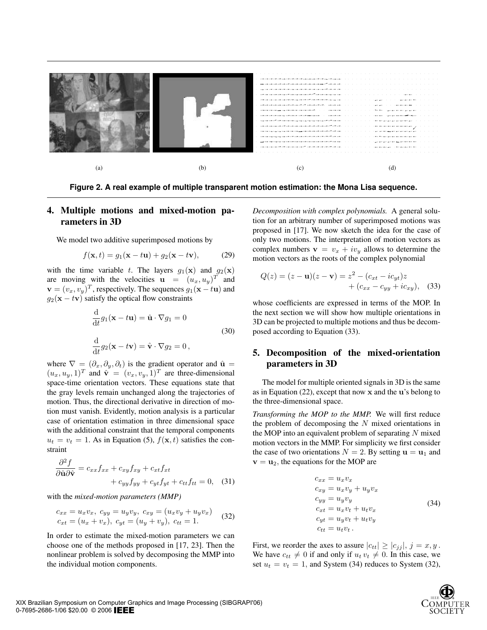

**Figure 2. A real example of multiple transparent motion estimation: the Mona Lisa sequence.**

# **4. Multiple motions and mixed-motion parameters in 3D**

We model two additive superimposed motions by

$$
f(\mathbf{x},t) = g_1(\mathbf{x} - t\mathbf{u}) + g_2(\mathbf{x} - t\mathbf{v}),
$$
 (29)

with the time variable t. The layers  $g_1(\mathbf{x})$  and  $g_2(\mathbf{x})$ are moving with the velocities  $\mathbf{u} = (u_x, u_y)^T$  and  $\mathbf{v} = (v_x, v_y)^T$ , respectively. The sequences  $g_1(\mathbf{x} - t\mathbf{u})$  and  $g_2(\mathbf{x} - t\mathbf{v})$  satisfy the optical flow constraints

$$
\frac{\mathrm{d}}{\mathrm{d}t}g_1(\mathbf{x} - t\mathbf{u}) = \hat{\mathbf{u}} \cdot \nabla g_1 = 0
$$
\n
$$
\frac{\mathrm{d}}{\mathrm{d}t}g_2(\mathbf{x} - t\mathbf{v}) = \hat{\mathbf{v}} \cdot \nabla g_2 = 0,
$$
\n(30)

where  $\nabla = (\partial_x, \partial_y, \partial_t)$  is the gradient operator and  $\hat{\mathbf{u}} =$  $(u_x, u_y, 1)^T$  and  $\hat{\mathbf{v}} = (v_x, v_y, 1)^T$  are three-dimensional space-time orientation vectors. These equations state that the gray levels remain unchanged along the trajectories of motion. Thus, the directional derivative in direction of motion must vanish. Evidently, motion analysis is a particular case of orientation estimation in three dimensional space with the additional constraint that the temporal components  $u_t = v_t = 1$ . As in Equation (5),  $f(\mathbf{x}, t)$  satisfies the constraint

$$
\frac{\partial^2 f}{\partial \hat{\mathbf{u}} \partial \hat{\mathbf{v}}} = c_{xx} f_{xx} + c_{xy} f_{xy} + c_{xt} f_{xt} \n+ c_{yy} f_{yy} + c_{yt} f_{yt} + c_{tt} f_{tt} = 0, \quad (31)
$$

with the *mixed-motion parameters (MMP)*

$$
c_{xx} = u_x v_x, c_{yy} = u_y v_y, c_{xy} = (u_x v_y + u_y v_x)
$$
  

$$
c_{xt} = (u_x + v_x), c_{yt} = (u_y + v_y), c_{tt} = 1.
$$
 (32)

In order to estimate the mixed-motion parameters we can choose one of the methods proposed in [17, 23]. Then the nonlinear problem is solved by decomposing the MMP into the individual motion components.

*Decomposition with complex polynomials.* A general solution for an arbitrary number of superimposed motions was proposed in [17]. We now sketch the idea for the case of only two motions. The interpretation of motion vectors as complex numbers  $\mathbf{v} = v_x + iv_y$  allows to determine the motion vectors as the roots of the complex polynomial

$$
Q(z) = (z - \mathbf{u})(z - \mathbf{v}) = z^2 - (c_{xt} - ic_{yt})z + (c_{xx} - c_{yy} + ic_{xy}),
$$
 (33)

whose coefficients are expressed in terms of the MOP. In the next section we will show how multiple orientations in 3D can be projected to multiple motions and thus be decomposed according to Equation (33).

# **5. Decomposition of the mixed-orientation parameters in 3D**

The model for multiple oriented signals in 3D is the same as in Equation (22), except that now  $x$  and the  $u$ 's belong to the three-dimensional space.

*Transforming the MOP to the MMP.* We will first reduce the problem of decomposing the  $N$  mixed orientations in the MOP into an equivalent problem of separating  $N$  mixed motion vectors in the MMP. For simplicity we first consider the case of two orientations  $N = 2$ . By setting  $\mathbf{u} = \mathbf{u}_1$  and  $v = u_2$ , the equations for the MOP are

$$
c_{xx} = u_x v_x
$$
  
\n
$$
c_{xy} = u_x v_y + u_y v_x
$$
  
\n
$$
c_{yy} = u_y v_y
$$
  
\n
$$
c_{xt} = u_x v_t + u_t v_x
$$
  
\n
$$
c_{yt} = u_y v_t + u_t v_y
$$
  
\n
$$
c_{tt} = u_t v_t.
$$
\n(34)

First, we reorder the axes to assure  $|c_{tt}| \ge |c_{jj}|$ ,  $j = x, y$ . We have  $c_{tt} \neq 0$  if and only if  $u_t v_t \neq 0$ . In this case, we set  $u_t = v_t = 1$ , and System (34) reduces to System (32),

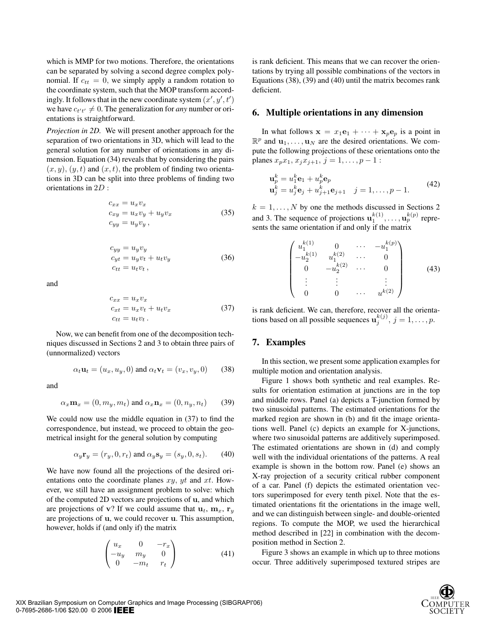which is MMP for two motions. Therefore, the orientations can be separated by solving a second degree complex polynomial. If  $c_{tt} = 0$ , we simply apply a random rotation to the coordinate system, such that the MOP transform accordingly. It follows that in the new coordinate system  $(x', y', t')$ we have  $c_{t't'} \neq 0$ . The generalization for *any* number or orientations is straightforward.

*Projection in 2D.* We will present another approach for the separation of two orientations in 3D, which will lead to the general solution for any number of orientations in any dimension. Equation (34) reveals that by considering the pairs  $(x, y)$ ,  $(y, t)$  and  $(x, t)$ , the problem of finding two orientations in 3D can be split into three problems of finding two orientations in 2D :

$$
c_{xx} = u_x v_x
$$
  
\n
$$
c_{xy} = u_x v_y + u_y v_x
$$
  
\n
$$
c_{yy} = u_y v_y,
$$
\n(35)

$$
c_{yy} = u_y v_y
$$
  
\n
$$
c_{yt} = u_y v_t + u_t v_y
$$
  
\n
$$
c_{tt} = u_t v_t,
$$
\n(36)

and

$$
c_{xx} = u_x v_x
$$
  
\n
$$
c_{xt} = u_x v_t + u_t v_x
$$
  
\n
$$
c_{tt} = u_t v_t.
$$
\n(37)

Now, we can benefit from one of the decomposition techniques discussed in Sections 2 and 3 to obtain three pairs of (unnormalized) vectors

$$
\alpha_t \mathbf{u}_t = (u_x, u_y, 0) \text{ and } \alpha_t \mathbf{v}_t = (v_x, v_y, 0) \quad (38)
$$

and

$$
\alpha_x \mathbf{m}_x = (0, m_y, m_t) \text{ and } \alpha_x \mathbf{n}_x = (0, n_y, n_t) \quad (39)
$$

We could now use the middle equation in (37) to find the correspondence, but instead, we proceed to obtain the geometrical insight for the general solution by computing

$$
\alpha_y \mathbf{r}_y = (r_y, 0, r_t) \text{ and } \alpha_y \mathbf{s}_y = (s_y, 0, s_t). \tag{40}
$$

We have now found all the projections of the desired orientations onto the coordinate planes  $xy$ ,  $yt$  and  $xt$ . However, we still have an assignment problem to solve: which of the computed 2D vectors are projections of u, and which are projections of v? If we could assume that  $\mathbf{u}_t$ ,  $\mathbf{m}_x$ ,  $\mathbf{r}_y$ are projections of u, we could recover u. This assumption, however, holds if (and only if) the matrix

$$
\begin{pmatrix} u_x & 0 & -r_x \\ -u_y & m_y & 0 \\ 0 & -m_t & r_t \end{pmatrix}
$$
 (41)

is rank deficient. This means that we can recover the orientations by trying all possible combinations of the vectors in Equations (38), (39) and (40) until the matrix becomes rank deficient.

#### **6. Multiple orientations in any dimension**

In what follows  $\mathbf{x} = x_1 \mathbf{e}_1 + \cdots + \mathbf{x}_p \mathbf{e}_p$  is a point in  $\mathbb{R}^p$  and  $\mathbf{u}_1, \dots, \mathbf{u}_N$  are the desired orientations. We compute the following projections of these orientations onto the planes  $x_p x_1, x_j x_{j+1}, j = 1, \ldots, p-1$ :

$$
\mathbf{u}_p^k = u_1^k \mathbf{e}_1 + u_p^k \mathbf{e}_p \n\mathbf{u}_j^k = u_j^k \mathbf{e}_j + u_{j+1}^k \mathbf{e}_{j+1} \quad j = 1, \dots, p-1.
$$
\n(42)

 $k = 1, \ldots, N$  by one the methods discussed in Sections 2 and 3. The sequence of projections  $\mathbf{u}_1^{k(1)}, \dots, \mathbf{u}_p^{k(p)}$  represents the same orientation if and only if the matrix

$$
\begin{pmatrix} u_1^{k(1)} & 0 & \cdots & -u_1^{k(p)} \\ -u_2^{k(1)} & u_1^{k(2)} & \cdots & 0 \\ 0 & -u_2^{k(2)} & \cdots & 0 \\ \vdots & \vdots & & \vdots \\ 0 & 0 & \cdots & u^{k(2)} \end{pmatrix}
$$
 (43)

is rank deficient. We can, therefore, recover all the orientations based on all possible sequences  $\mathbf{u}_j^{k(j)}$ ,  $j = 1, \ldots, p$ .

## **7. Examples**

In this section, we present some application examples for multiple motion and orientation analysis.

Figure 1 shows both synthetic and real examples. Results for orientation estimation at junctions are in the top and middle rows. Panel (a) depicts a T-junction formed by two sinusoidal patterns. The estimated orientations for the marked region are shown in (b) and fit the image orientations well. Panel (c) depicts an example for X-junctions, where two sinusoidal patterns are additively superimposed. The estimated orientations are shown in (d) and comply well with the individual orientations of the patterns. A real example is shown in the bottom row. Panel (e) shows an X-ray projection of a security critical rubber component of a car. Panel (f) depicts the estimated orientation vectors superimposed for every tenth pixel. Note that the estimated orientations fit the orientations in the image well, and we can distinguish between single- and double-oriented regions. To compute the MOP, we used the hierarchical method described in [22] in combination with the decomposition method in Section 2.

Figure 3 shows an example in which up to three motions occur. Three additively superimposed textured stripes are

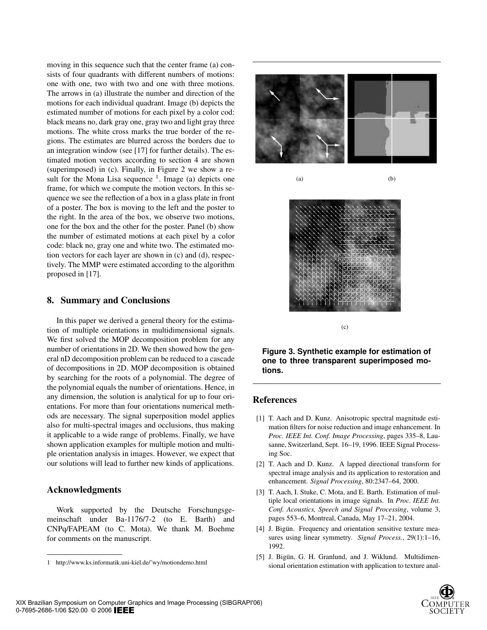moving in this sequence such that the center frame (a) consists of four quadrants with different numbers of motions: one with one, two with two and one with three motions. The arrows in (a) illustrate the number and direction of the motions for each individual quadrant. Image (b) depicts the estimated number of motions for each pixel by a color cod: black means no, dark gray one, gray two and light gray three motions. The white cross marks the true border of the regions. The estimates are blurred across the borders due to an integration window (see [17] for further details). The estimated motion vectors according to section 4 are shown (superimposed) in (c). Finally, in Figure 2 we show a result for the Mona Lisa sequence  $<sup>1</sup>$ . Image (a) depicts one</sup> frame, for which we compute the motion vectors. In this sequence we see the reflection of a box in a glass plate in front of a poster. The box is moving to the left and the poster to the right. In the area of the box, we observe two motions, one for the box and the other for the poster. Panel (b) show the number of estimated motions at each pixel by a color code: black no, gray one and white two. The estimated motion vectors for each layer are shown in (c) and (d), respectively. The MMP were estimated according to the algorithm proposed in [17].

## **8. Summary and Conclusions**

In this paper we derived a general theory for the estimation of multiple orientations in multidimensional signals. We first solved the MOP decomposition problem for any number of orientations in 2D. We then showed how the general nD decomposition problem can be reduced to a cascade of decompositions in 2D. MOP decomposition is obtained by searching for the roots of a polynomial. The degree of the polynomial equals the number of orientations. Hence, in any dimension, the solution is analytical for up to four orientations. For more than four orientations numerical methods are necessary. The signal superposition model applies also for multi-spectral images and occlusions, thus making it applicable to a wide range of problems. Finally, we have shown application examples for multiple motion and multiple orientation analysis in images. However, we expect that our solutions will lead to further new kinds of applications.

# **Acknowledgments**

Work supported by the Deutsche Forschungsgemeinschaft under Ba-1176/7-2 (to E. Barth) and CNPq/FAPEAM (to C. Mota). We thank M. Boehme for comments on the manuscript.



 $(a)$  (b)

(c)



## **References**

- [1] T. Aach and D. Kunz. Anisotropic spectral magnitude estimation filters for noise reduction and image enhancement. In *Proc. IEEE Int. Conf. Image Processing*, pages 335–8, Lausanne, Switzerland, Sept. 16–19, 1996. IEEE Signal Processing Soc.
- [2] T. Aach and D. Kunz. A lapped directional transform for spectral image analysis and its application to restoration and enhancement. *Signal Processing*, 80:2347–64, 2000.
- [3] T. Aach, I. Stuke, C. Mota, and E. Barth. Estimation of multiple local orientations in image signals. In *Proc. IEEE Int. Conf. Acoustics, Speech and Signal Processing*, volume 3, pages 553–6, Montreal, Canada, May 17–21, 2004.
- [4] J. Bigün. Frequency and orientation sensitive texture measures using linear symmetry. *Signal Process.*, 29(1):1–16, 1992.
- [5] J. Bigün, G. H. Granlund, and J. Wiklund. Multidimensional orientation estimation with application to texture anal-



<sup>1</sup> http://www.ks.informatik.uni-kiel.de/˜wy/motiondemo.html